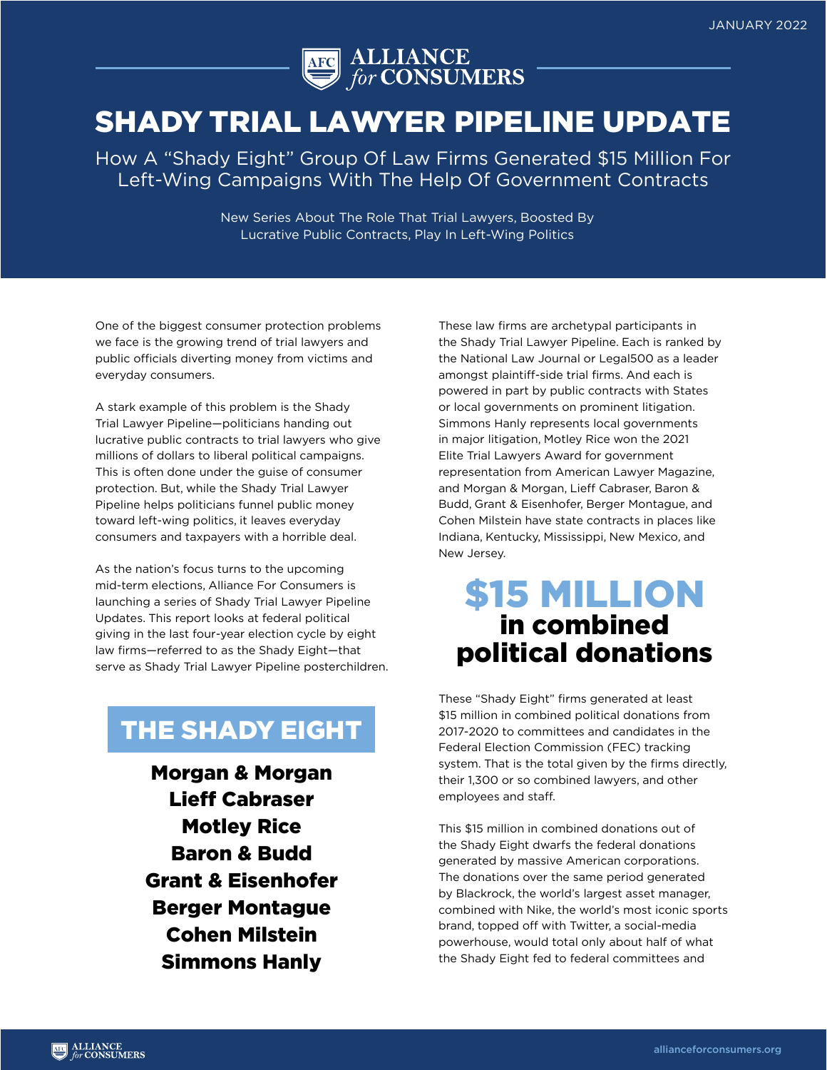

## SHADY TRIAL LAWYER PIPELINE UPDATE

How A "Shady Eight" Group Of Law Firms Generated \$15 Million For Left-Wing Campaigns With The Help Of Government Contracts

> New Series About The Role That Trial Lawyers, Boosted By Lucrative Public Contracts, Play In Left-Wing Politics

One of the biggest consumer protection problems we face is the growing trend of trial lawyers and public officials diverting money from victims and everyday consumers.

A stark example of this problem is the Shady Trial Lawyer Pipeline—politicians handing out lucrative public contracts to trial lawyers who give millions of dollars to liberal political campaigns. This is often done under the guise of consumer protection. But, while the Shady Trial Lawyer Pipeline helps politicians funnel public money toward left-wing politics, it leaves everyday consumers and taxpayers with a horrible deal.

As the nation's focus turns to the upcoming mid-term elections, Alliance For Consumers is launching a series of Shady Trial Lawyer Pipeline Updates. This report looks at federal political giving in the last four-year election cycle by eight law firms—referred to as the Shady Eight—that serve as Shady Trial Lawyer Pipeline posterchildren.

#### THE SHADY EIGHT

Morgan & Morgan Lieff Cabraser Motley Rice Baron & Budd Grant & Eisenhofer Berger Montague Cohen Milstein Simmons Hanly

These law firms are archetypal participants in the Shady Trial Lawyer Pipeline. Each is ranked by the National Law Journal or Legal500 as a leader amongst plaintiff-side trial firms. And each is powered in part by public contracts with States or local governments on prominent litigation. Simmons Hanly represents local governments in major litigation, Motley Rice won the 2021 Elite Trial Lawyers Award for government representation from American Lawyer Magazine, and Morgan & Morgan, Lieff Cabraser, Baron & Budd, Grant & Eisenhofer, Berger Montague, and Cohen Milstein have state contracts in places like Indiana, Kentucky, Mississippi, New Mexico, and New Jersey.

### \$15 million in combined political donations

These "Shady Eight" firms generated at least \$15 million in combined political donations from 2017-2020 to committees and candidates in the Federal Election Commission (FEC) tracking system. That is the total given by the firms directly, their 1,300 or so combined lawyers, and other employees and staff.

This \$15 million in combined donations out of the Shady Eight dwarfs the federal donations generated by massive American corporations. The donations over the same period generated by Blackrock, the world's largest asset manager, combined with Nike, the world's most iconic sports brand, topped off with Twitter, a social-media powerhouse, would total only about half of what the Shady Eight fed to federal committees and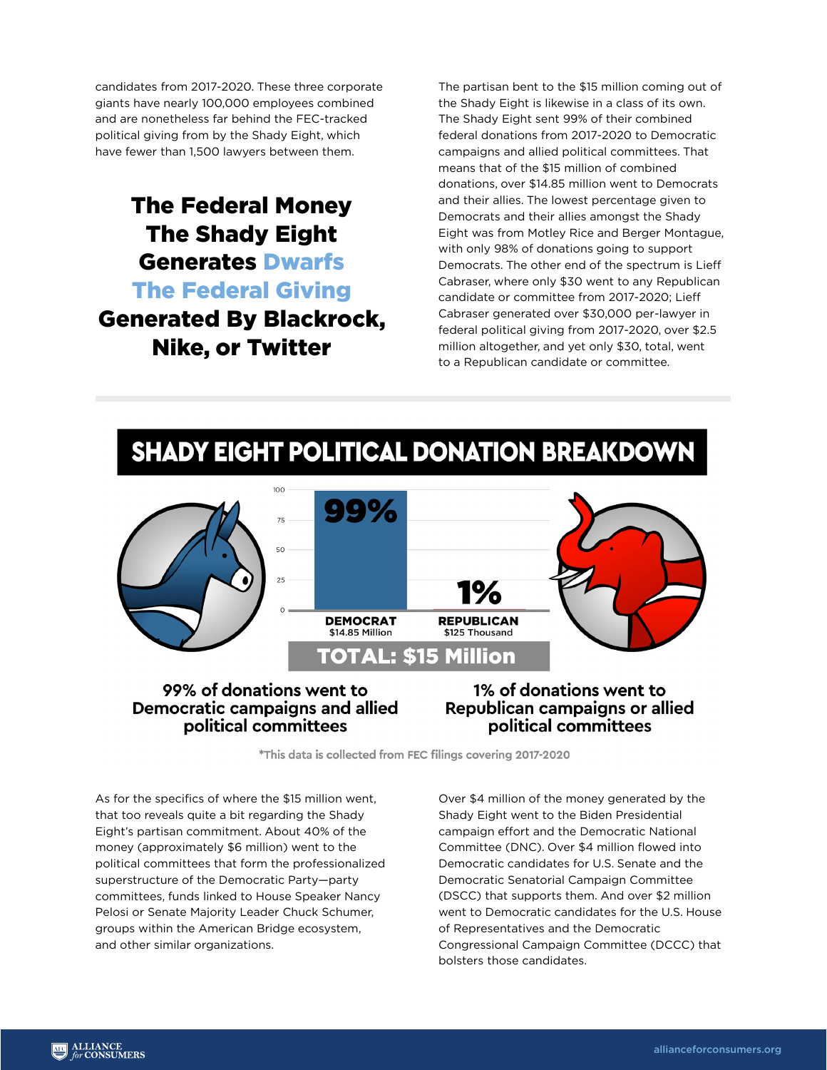candidates from 2017-2020. These three corporate giants have nearly 100,000 employees combined and are nonetheless far behind the FEC-tracked political giving from by the Shady Eight, which have fewer than 1,500 lawyers between them.

#### The Federal Money The Shady Eight Generates Dwarfs The Federal Giving Generated By Blackrock, Nike, or Twitter

The partisan bent to the \$15 million coming out of the Shady Eight is likewise in a class of its own. The Shady Eight sent 99% of their combined federal donations from 2017-2020 to Democratic campaigns and allied political committees. That means that of the \$15 million of combined donations, over \$14.85 million went to Democrats and their allies. The lowest percentage given to Democrats and their allies amongst the Shady Eight was from Motley Rice and Berger Montague, with only 98% of donations going to support Democrats. The other end of the spectrum is Lieff Cabraser, where only \$30 went to any Republican candidate or committee from 2017-2020; Lieff Cabraser generated over \$30,000 per-lawyer in federal political giving from 2017-2020, over \$2.5 million altogether, and yet only \$30, total, went to a Republican candidate or committee.

### SHADY EIGHT POLITICAL DONATION BREAKDOWN



#### 99% of donations went to Democratic campaigns and allied political committees

**1% of donations went to** Republican campaigns or allied political committees

\*This data is collected from FEC filings covering 2017-2020

As for the specifics of where the \$15 million went, that too reveals quite a bit regarding the Shady Eight's partisan commitment. About 40% of the money (approximately \$6 million) went to the political committees that form the professionalized superstructure of the Democratic Party—party committees, funds linked to House Speaker Nancy Pelosi or Senate Majority Leader Chuck Schumer, groups within the American Bridge ecosystem, and other similar organizations.

Over \$4 million of the money generated by the Shady Eight went to the Biden Presidential campaign effort and the Democratic National Committee (DNC). Over \$4 million flowed into Democratic candidates for U.S. Senate and the Democratic Senatorial Campaign Committee (DSCC) that supports them. And over \$2 million went to Democratic candidates for the U.S. House of Representatives and the Democratic Congressional Campaign Committee (DCCC) that bolsters those candidates.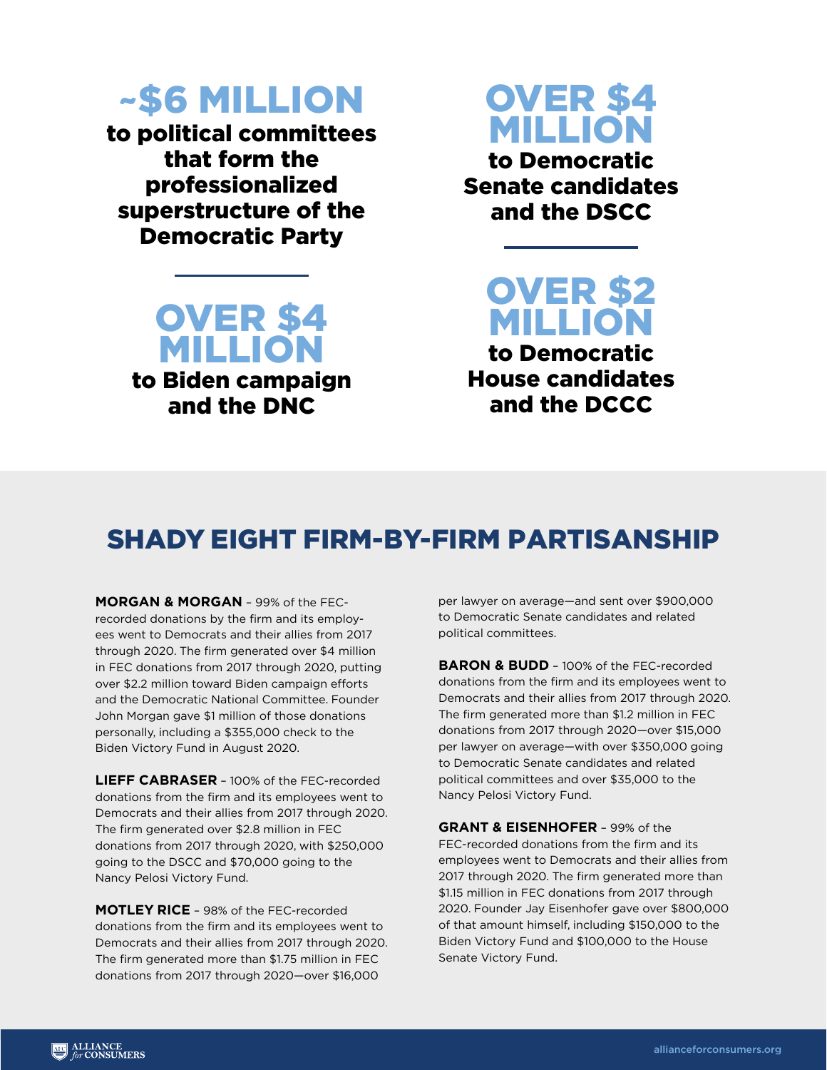# ~\$6 million

to political committees that form the professionalized superstructure of the Democratic Party



to Biden campaign and the DNC

# Over \$4 million

to Democratic Senate candidates and the DSCC

Over \$2 million to Democratic House candidates

and the DCCC

### Shady Eight Firm-By-Firm Partisanship

**Morgan & Morgan** – 99% of the FECrecorded donations by the firm and its employees went to Democrats and their allies from 2017 through 2020. The firm generated over \$4 million in FEC donations from 2017 through 2020, putting over \$2.2 million toward Biden campaign efforts and the Democratic National Committee. Founder John Morgan gave \$1 million of those donations personally, including a \$355,000 check to the Biden Victory Fund in August 2020.

**Lieff Cabraser** – 100% of the FEC-recorded donations from the firm and its employees went to Democrats and their allies from 2017 through 2020. The firm generated over \$2.8 million in FEC donations from 2017 through 2020, with \$250,000 going to the DSCC and \$70,000 going to the Nancy Pelosi Victory Fund.

**Motley Rice** – 98% of the FEC-recorded donations from the firm and its employees went to Democrats and their allies from 2017 through 2020. The firm generated more than \$1.75 million in FEC donations from 2017 through 2020—over \$16,000

per lawyer on average—and sent over \$900,000 to Democratic Senate candidates and related political committees.

**BARON & BUDD** - 100% of the FEC-recorded donations from the firm and its employees went to Democrats and their allies from 2017 through 2020. The firm generated more than \$1.2 million in FEC donations from 2017 through 2020—over \$15,000 per lawyer on average—with over \$350,000 going to Democratic Senate candidates and related political committees and over \$35,000 to the Nancy Pelosi Victory Fund.

**Grant & Eisenhofer** – 99% of the FEC-recorded donations from the firm and its employees went to Democrats and their allies from 2017 through 2020. The firm generated more than \$1.15 million in FEC donations from 2017 through 2020. Founder Jay Eisenhofer gave over \$800,000 of that amount himself, including \$150,000 to the Biden Victory Fund and \$100,000 to the House Senate Victory Fund.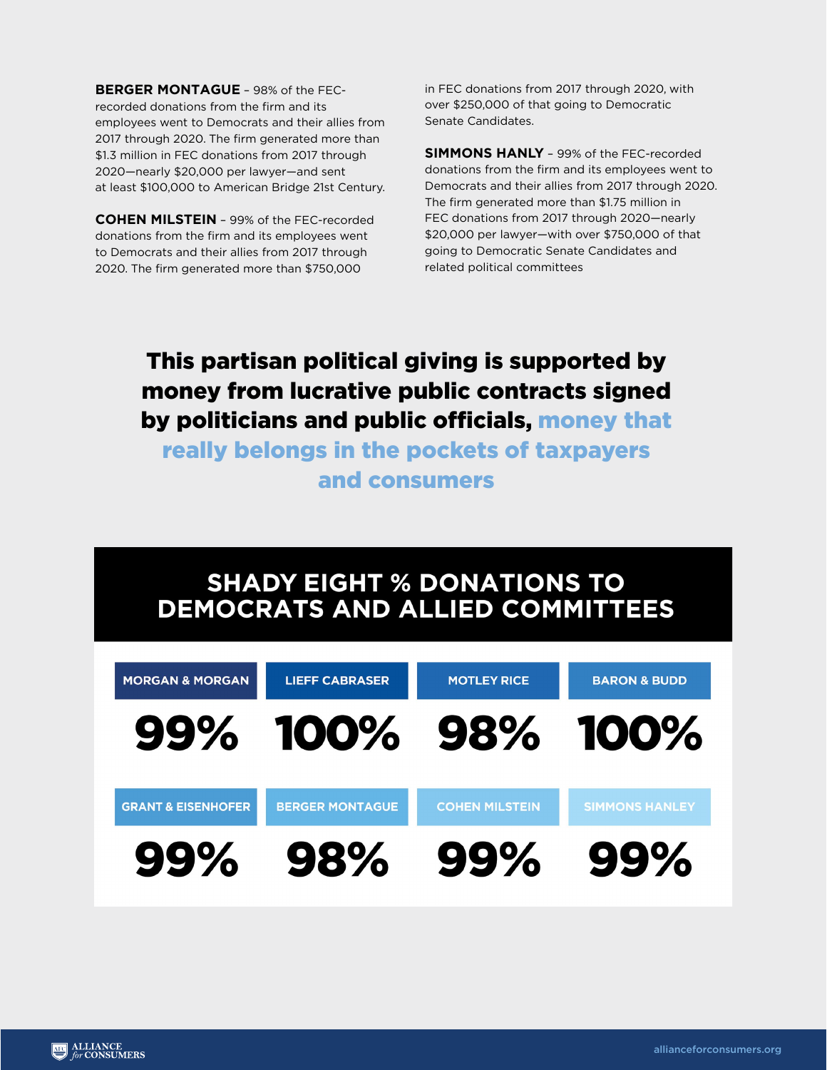**Berger Montague** – 98% of the FECrecorded donations from the firm and its employees went to Democrats and their allies from 2017 through 2020. The firm generated more than \$1.3 million in FEC donations from 2017 through 2020—nearly \$20,000 per lawyer—and sent at least \$100,000 to American Bridge 21st Century.

**Cohen Milstein** – 99% of the FEC-recorded donations from the firm and its employees went to Democrats and their allies from 2017 through 2020. The firm generated more than \$750,000

in FEC donations from 2017 through 2020, with over \$250,000 of that going to Democratic Senate Candidates.

**Simmons Hanly** – 99% of the FEC-recorded donations from the firm and its employees went to Democrats and their allies from 2017 through 2020. The firm generated more than \$1.75 million in FEC donations from 2017 through 2020—nearly \$20,000 per lawyer—with over \$750,000 of that going to Democratic Senate Candidates and related political committees

### This partisan political giving is supported by money from lucrative public contracts signed by politicians and public officials, money that

really belongs in the pockets of taxpayers and consumers

### **SHADY EIGHT % DONATIONS TO DEMOCRATS AND ALLIED COMMITTEES**

| <b>MORGAN &amp; MORGAN</b>    | <b>LIEFF CABRASER</b>  | <b>MOTLEY RICE</b>    | <b>BARON &amp; BUDD</b> |
|-------------------------------|------------------------|-----------------------|-------------------------|
|                               | 99% 100% 98% 100%      |                       |                         |
| <b>GRANT &amp; EISENHOFER</b> | <b>BERGER MONTAGUE</b> | <b>COHEN MILSTEIN</b> | <b>SIMMONS HANLEY</b>   |
| 99%                           | 98%                    | 99%                   | 99%                     |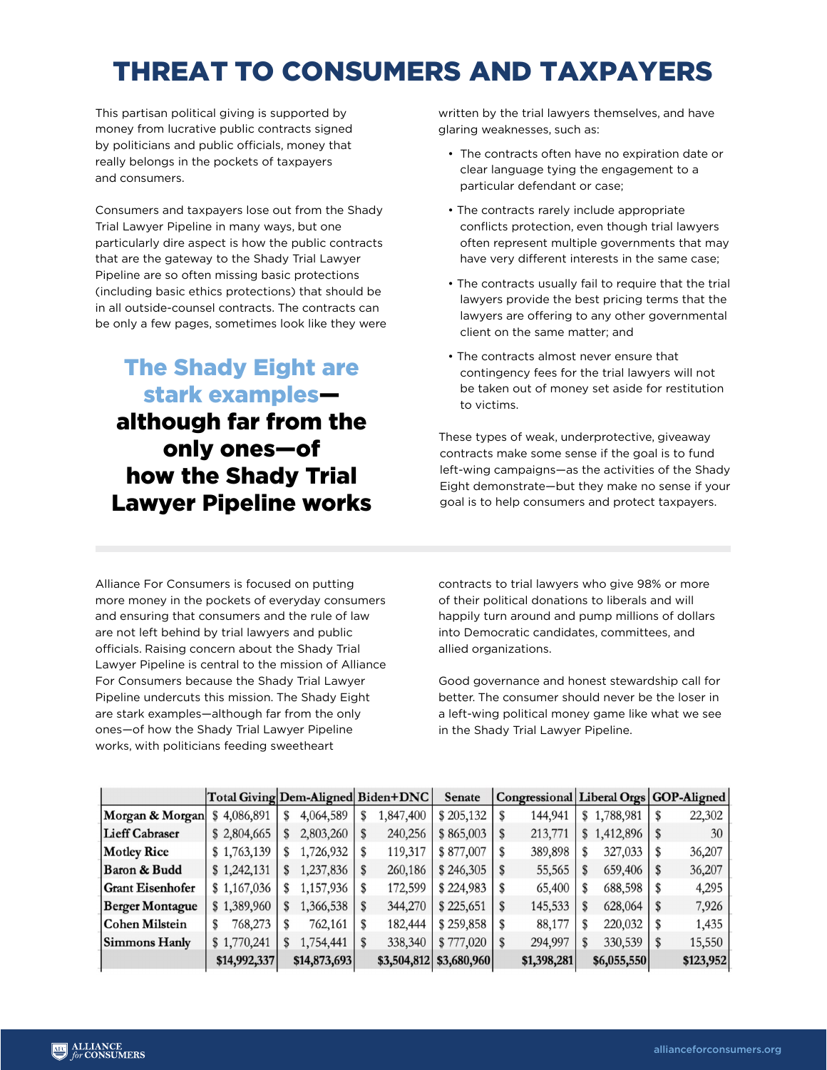# Threat To Consumers And Taxpayers

This partisan political giving is supported by money from lucrative public contracts signed by politicians and public officials, money that really belongs in the pockets of taxpayers and consumers.

Consumers and taxpayers lose out from the Shady Trial Lawyer Pipeline in many ways, but one particularly dire aspect is how the public contracts that are the gateway to the Shady Trial Lawyer Pipeline are so often missing basic protections (including basic ethics protections) that should be in all outside-counsel contracts. The contracts can be only a few pages, sometimes look like they were

#### The Shady Eight are stark examples although far from the only ones—of how the Shady Trial Lawyer Pipeline works

written by the trial lawyers themselves, and have glaring weaknesses, such as:

- The contracts often have no expiration date or clear language tying the engagement to a particular defendant or case;
- The contracts rarely include appropriate conflicts protection, even though trial lawyers often represent multiple governments that may have very different interests in the same case;
- The contracts usually fail to require that the trial lawyers provide the best pricing terms that the lawyers are offering to any other governmental client on the same matter; and
- The contracts almost never ensure that contingency fees for the trial lawyers will not be taken out of money set aside for restitution to victims.

These types of weak, underprotective, giveaway contracts make some sense if the goal is to fund left-wing campaigns—as the activities of the Shady Eight demonstrate—but they make no sense if your goal is to help consumers and protect taxpayers.

Alliance For Consumers is focused on putting more money in the pockets of everyday consumers and ensuring that consumers and the rule of law are not left behind by trial lawyers and public officials. Raising concern about the Shady Trial Lawyer Pipeline is central to the mission of Alliance For Consumers because the Shady Trial Lawyer Pipeline undercuts this mission. The Shady Eight are stark examples—although far from the only ones—of how the Shady Trial Lawyer Pipeline works, with politicians feeding sweetheart

contracts to trial lawyers who give 98% or more of their political donations to liberals and will happily turn around and pump millions of dollars into Democratic candidates, committees, and allied organizations.

Good governance and honest stewardship call for better. The consumer should never be the loser in a left-wing political money game like what we see in the Shady Trial Lawyer Pipeline.

|                         | Total Giving Dem-Aligned Biden+DNC |    |              |   |           | <b>Senate</b>           | Congressional Liberal Orgs GOP-Aligned |   |             |    |           |
|-------------------------|------------------------------------|----|--------------|---|-----------|-------------------------|----------------------------------------|---|-------------|----|-----------|
| Morgan & Morgan         | \$4,086,891                        | S  | 4,064,589    | S | 1,847,400 | \$205,132               | 144,941                                | S | 1,788,981   | \$ | 22,302    |
| <b>Lieff Cabraser</b>   | \$2,804,665                        | \$ | 2,803,260    |   | 240,256   | \$865,003               | 213,771                                |   | \$1,412,896 |    | 30        |
| <b>Motley Rice</b>      | \$1,763,139                        | \$ | 1,726,932    |   | 119,317   | \$877,007               | 389,898                                |   | 327,033     |    | 36,207    |
| Baron & Budd            | \$1,242,131                        | \$ | 1,237,836    |   | 260,186   | \$246,305               | 55,565                                 |   | 659,406     | \$ | 36,207    |
| <b>Grant Eisenhofer</b> | \$1,167,036                        | S  | 1,157,936    |   | 172,599   | \$224,983               | 65,400                                 |   | 688,598     |    | 4,295     |
| <b>Berger Montague</b>  | \$1,389,960                        | S  | 1,366,538    |   | 344,270   | \$225,651               | 145,533                                |   | 628,064     | S  | 7,926     |
| Cohen Milstein          | 768,273                            |    | 762,161      |   | 182,444   | \$259,858               | 88,177                                 |   | 220,032     |    | 1,435     |
| Simmons Hanly           | \$1,770,241                        | S  | 1,754,441    |   | 338,340   | \$777,020               | 294,997                                | S | 330,539     | \$ | 15,550    |
|                         | \$14,992,337                       |    | \$14,873,693 |   |           | \$3,504,812 \$3,680,960 | \$1,398,281                            |   | \$6,055,550 |    | \$123,952 |